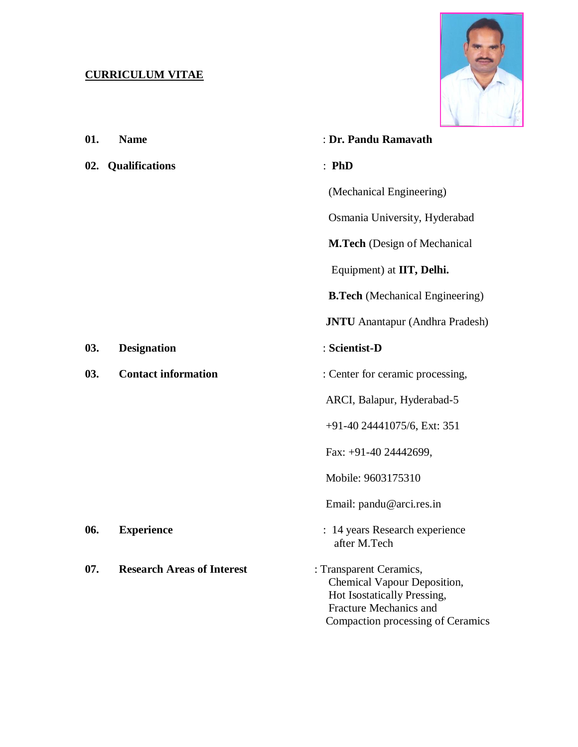## **CURRICULUM VITAE**



| 01. | <b>Name</b>                       | : Dr. Pandu Ramavath                                                                                                                                        |
|-----|-----------------------------------|-------------------------------------------------------------------------------------------------------------------------------------------------------------|
| 02. | <b>Qualifications</b>             | : <b>PhD</b>                                                                                                                                                |
|     |                                   | (Mechanical Engineering)                                                                                                                                    |
|     |                                   | Osmania University, Hyderabad                                                                                                                               |
|     |                                   | <b>M.Tech</b> (Design of Mechanical                                                                                                                         |
|     |                                   | Equipment) at IIT, Delhi.                                                                                                                                   |
|     |                                   | <b>B.Tech</b> (Mechanical Engineering)                                                                                                                      |
|     |                                   | <b>JNTU</b> Anantapur (Andhra Pradesh)                                                                                                                      |
| 03. | <b>Designation</b>                | : Scientist-D                                                                                                                                               |
| 03. | <b>Contact information</b>        | : Center for ceramic processing,                                                                                                                            |
|     |                                   | ARCI, Balapur, Hyderabad-5                                                                                                                                  |
|     |                                   | $+91-40$ 24441075/6, Ext: 351                                                                                                                               |
|     |                                   | Fax: +91-40 24442699,                                                                                                                                       |
|     |                                   | Mobile: 9603175310                                                                                                                                          |
|     |                                   | Email: pandu@arci.res.in                                                                                                                                    |
| 06. | <b>Experience</b>                 | : 14 years Research experience<br>after M.Tech                                                                                                              |
| 07. | <b>Research Areas of Interest</b> | : Transparent Ceramics,<br>Chemical Vapour Deposition,<br>Hot Isostatically Pressing,<br><b>Fracture Mechanics and</b><br>Compaction processing of Ceramics |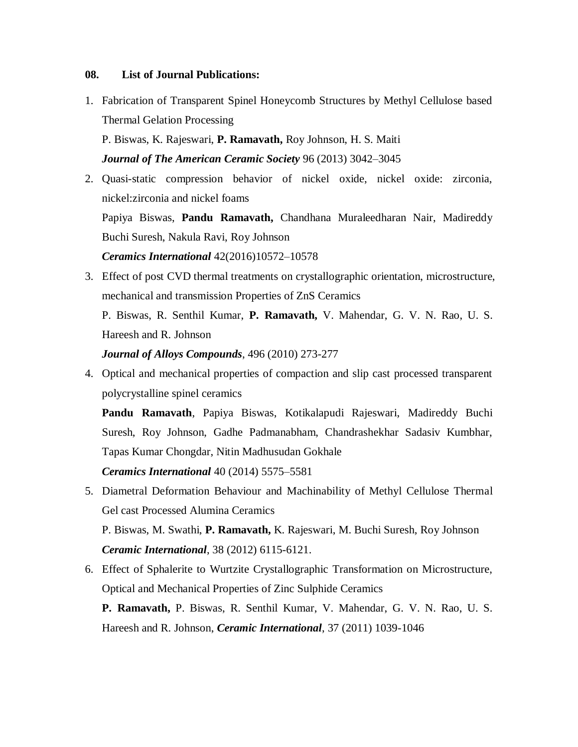## **08. List of Journal Publications:**

1. Fabrication of Transparent Spinel Honeycomb Structures by Methyl Cellulose based Thermal Gelation Processing

P. Biswas, K. Rajeswari, **P. Ramavath,** Roy Johnson, H. S. Maiti *Journal of The American Ceramic Society* 96 (2013) 3042–3045

2. Quasi-static compression behavior of nickel oxide, nickel oxide: zirconia, nickel:zirconia and nickel foams

Papiya Biswas, **Pandu Ramavath,** Chandhana Muraleedharan Nair, Madireddy Buchi Suresh, Nakula Ravi, Roy Johnson

*Ceramics International* 42(2016)10572–10578

3. Effect of post CVD thermal treatments on crystallographic orientation, microstructure, mechanical and transmission Properties of ZnS Ceramics

P. Biswas, R. Senthil Kumar, **P. Ramavath,** V. Mahendar, G. V. N. Rao, U. S. Hareesh and R. Johnson

*Journal of Alloys Compounds*, 496 (2010) 273-277

4. Optical and mechanical properties of compaction and slip cast processed transparent polycrystalline spinel ceramics

**Pandu Ramavath**, Papiya Biswas, Kotikalapudi Rajeswari, Madireddy Buchi Suresh, Roy Johnson, Gadhe Padmanabham, Chandrashekhar Sadasiv Kumbhar, Tapas Kumar Chongdar, Nitin Madhusudan Gokhale

*Ceramics International* 40 (2014) 5575–5581

5. Diametral Deformation Behaviour and Machinability of Methyl Cellulose Thermal Gel cast Processed Alumina Ceramics P. Biswas, M. Swathi, **P. Ramavath,** K. Rajeswari, M. Buchi Suresh, Roy Johnson

*Ceramic International*, 38 (2012) 6115-6121.

6. Effect of Sphalerite to Wurtzite Crystallographic Transformation on Microstructure, Optical and Mechanical Properties of Zinc Sulphide Ceramics

**P. Ramavath,** P. Biswas, R. Senthil Kumar, V. Mahendar, G. V. N. Rao, U. S. Hareesh and R. Johnson, *Ceramic International*, 37 (2011) 1039-1046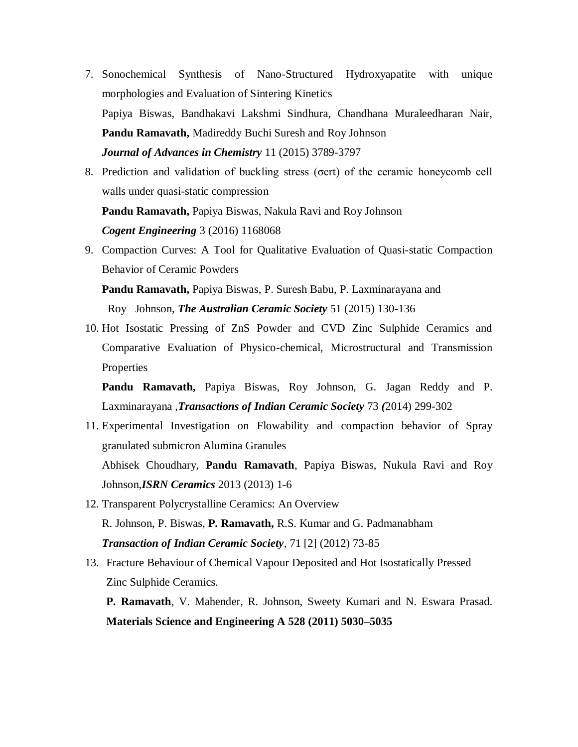- 7. Sonochemical Synthesis of Nano-Structured Hydroxyapatite with unique morphologies and Evaluation of Sintering Kinetics Papiya Biswas, Bandhakavi Lakshmi Sindhura, Chandhana Muraleedharan Nair, **Pandu Ramavath,** Madireddy Buchi Suresh and Roy Johnson *Journal of Advances in Chemistry* 11 (2015) 3789-3797
- 8. Prediction and validation of buckling stress (σcrt) of the ceramic honeycomb cell walls under quasi-static compression **Pandu Ramavath,** Papiya Biswas, Nakula Ravi and Roy Johnson

*Cogent Engineering* 3 (2016) 1168068

9. Compaction Curves: A Tool for Qualitative Evaluation of Quasi-static Compaction Behavior of Ceramic Powders

**Pandu Ramavath,** Papiya Biswas, P. Suresh Babu, P. Laxminarayana and Roy Johnson, *The Australian Ceramic Society* 51 (2015) 130-136

10. Hot Isostatic Pressing of ZnS Powder and CVD Zinc Sulphide Ceramics and Comparative Evaluation of Physico-chemical, Microstructural and Transmission Properties

**Pandu Ramavath,** Papiya Biswas, Roy Johnson, G. Jagan Reddy and P. Laxminarayana ,*Transactions of Indian Ceramic Society* 73 *(*2014) 299-302

11. Experimental Investigation on Flowability and compaction behavior of Spray granulated submicron Alumina Granules Abhisek Choudhary, **Pandu Ramavath**, Papiya Biswas, Nukula Ravi and Roy

Johnson,*ISRN Ceramics* 2013 (2013) 1-6

- 12. Transparent Polycrystalline Ceramics: An Overview R. Johnson, P. Biswas, **P. Ramavath,** R.S. Kumar and G. Padmanabham *Transaction of Indian Ceramic Society*, 71 [2] (2012) 73-85
- 13. Fracture Behaviour of Chemical Vapour Deposited and Hot Isostatically Pressed Zinc Sulphide Ceramics.

**P. Ramavath**, V. Mahender, R. Johnson, Sweety Kumari and N. Eswara Prasad. **Materials Science and Engineering A 528 (2011) 5030–5035**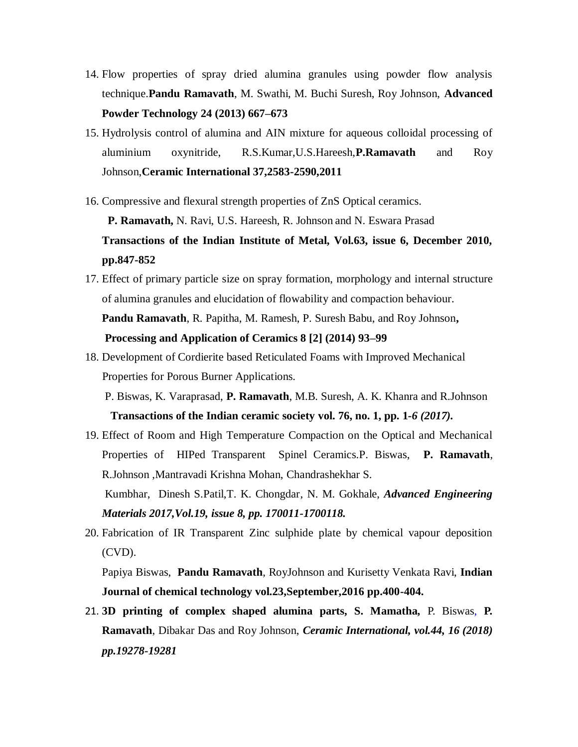- 14. Flow properties of spray dried alumina granules using powder flow analysis technique.**Pandu Ramavath**, M. Swathi, M. Buchi Suresh, Roy Johnson, **Advanced Powder Technology 24 (2013) 667–673**
- 15. Hydrolysis control of alumina and AIN mixture for aqueous colloidal processing of aluminium oxynitride, R.S.Kumar,U.S.Hareesh,**P.Ramavath** and Roy Johnson,**Ceramic International 37,2583-2590,2011**
- 16. Compressive and flexural strength properties of ZnS Optical ceramics.

 **P. Ramavath,** N. Ravi, U.S. Hareesh, R. Johnson and N. Eswara Prasad

**Transactions of the Indian Institute of Metal, Vol.63, issue 6, December 2010, pp.847-852**

- 17. Effect of primary particle size on spray formation, morphology and internal structure of alumina granules and elucidation of flowability and compaction behaviour. **Pandu Ramavath**, R. Papitha, M. Ramesh, P. Suresh Babu, and Roy Johnson**, Processing and Application of Ceramics 8 [2] (2014) 93–99**
- 18. Development of Cordierite based Reticulated Foams with Improved Mechanical Properties for Porous Burner Applications.

 P. Biswas, K. Varaprasad, **P. Ramavath**, M.B. Suresh, A. K. Khanra and R.Johnson  **Transactions of the Indian ceramic society vol. 76, no. 1, pp. 1***-6 (2017).*

19. Effect of Room and High Temperature Compaction on the Optical and Mechanical Properties of HIPed Transparent Spinel Ceramics.P. Biswas, **P. Ramavath**, R.Johnson ,Mantravadi Krishna Mohan, Chandrashekhar S. Kumbhar, Dinesh S.Patil,T. K. Chongdar, N. M. Gokhale, *Advanced Engineering* 

*Materials 2017,Vol.19, issue 8, pp. 170011-1700118.*

20. Fabrication of IR Transparent Zinc sulphide plate by chemical vapour deposition (CVD).

Papiya Biswas, **Pandu Ramavath**, RoyJohnson and Kurisetty Venkata Ravi, **Indian Journal of chemical technology vol.23,September,2016 pp.400-404.**

21. **3D printing of complex shaped alumina parts, S. Mamatha,** P. Biswas, **P. Ramavath**, Dibakar Das and Roy Johnson, *Ceramic International, vol.44, 16 (2018) pp.19278-19281*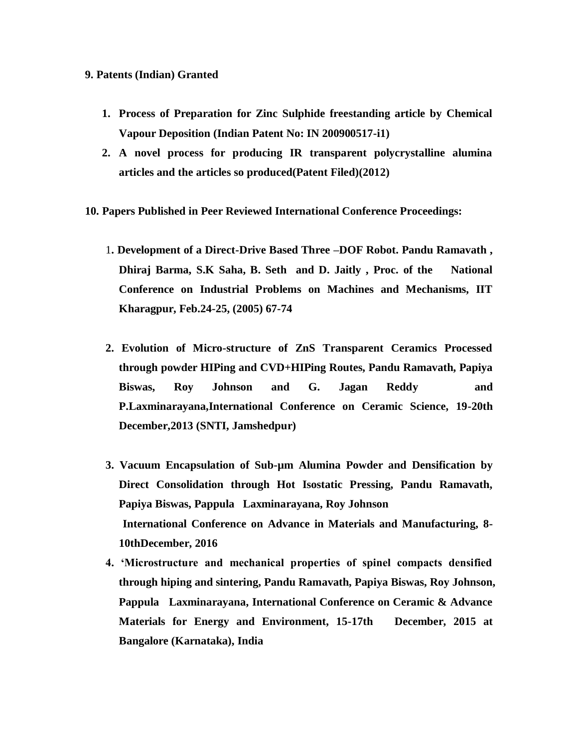## **9. Patents (Indian) Granted**

- **1. Process of Preparation for Zinc Sulphide freestanding article by Chemical Vapour Deposition (Indian Patent No: IN 200900517-i1)**
- **2. A novel process for producing IR transparent polycrystalline alumina articles and the articles so produced(Patent Filed)(2012)**
- **10. Papers Published in Peer Reviewed International Conference Proceedings:** 
	- 1**. Development of a Direct-Drive Based Three –DOF Robot. Pandu Ramavath , Dhiraj Barma, S.K Saha, B. Seth and D. Jaitly , Proc. of the National Conference on Industrial Problems on Machines and Mechanisms, IIT Kharagpur, Feb.24-25, (2005) 67-74**
	- **2. Evolution of Micro-structure of ZnS Transparent Ceramics Processed through powder HIPing and CVD+HIPing Routes, Pandu Ramavath, Papiya Biswas, Roy Johnson and G. Jagan Reddy and P.Laxminarayana,International Conference on Ceramic Science, 19-20th December,2013 (SNTI, Jamshedpur)**
	- **3. Vacuum Encapsulation of Sub-µm Alumina Powder and Densification by Direct Consolidation through Hot Isostatic Pressing, Pandu Ramavath, Papiya Biswas, Pappula Laxminarayana, Roy Johnson International Conference on Advance in Materials and Manufacturing, 8- 10thDecember, 2016**
	- **4. 'Microstructure and mechanical properties of spinel compacts densified through hiping and sintering, Pandu Ramavath, Papiya Biswas, Roy Johnson, Pappula Laxminarayana, International Conference on Ceramic & Advance Materials for Energy and Environment, 15-17th December, 2015 at Bangalore (Karnataka), India**